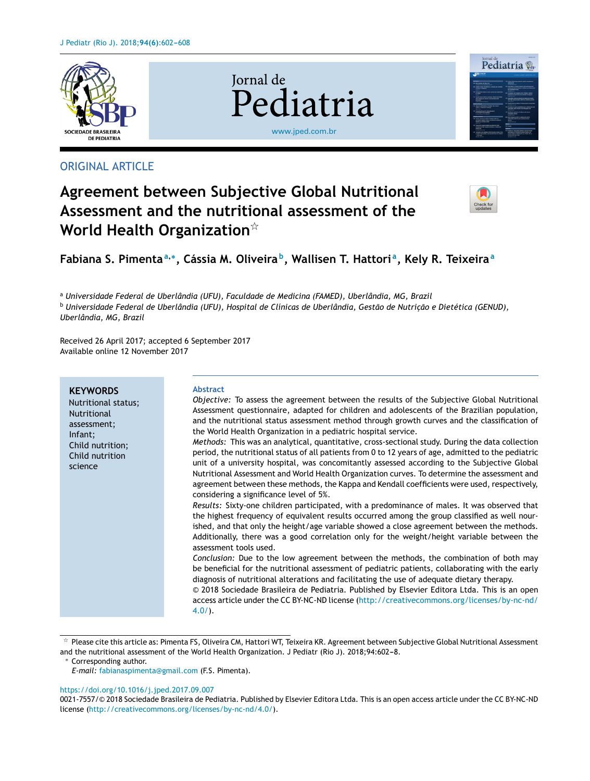

## ORIGINAL ARTICLE

# **Agreement between Subjective Global Nutritional Assessment and the nutritional assessment of the World Health Organization**-

**Iornal** de



Jornal de<br>Pediatria

**Fabiana S. Pimenta<sup>a</sup>**,<sup>∗</sup> **, Cássia M. Oliveira <sup>b</sup> , Wallisen T. Hattori <sup>a</sup> , Kely R. Teixeira<sup>a</sup>**

[www.jped.com.br](http://www.jped.com.br)

Pediatria

<sup>a</sup> *Universidade Federal de Uberlândia (UFU), Faculdade de Medicina (FAMED), Uberlândia, MG, Brazil*

<sup>b</sup> Universidade Federal de Uberlândia (UFU), Hospital de Clínicas de Uberlândia, Gestão de Nutrição e Dietética (GENUD), *Uberlândia, MG, Brazil*

Received 26 April 2017; accepted 6 September 2017 Available online 12 November 2017

| Infant;<br><i>Methods:</i> This was an analytical, quantitative, cross-sectional study. During the data collection<br>Child nutrition;<br>period, the nutritional status of all patients from 0 to 12 years of age, admitted to the pediatric<br>Child nutrition<br>unit of a university hospital, was concomitantly assessed according to the Subjective Global<br>science<br>Nutritional Assessment and World Health Organization curves. To determine the assessment and<br>agreement between these methods, the Kappa and Kendall coefficients were used, respectively,<br>considering a significance level of 5%.<br>Results: Sixty-one children participated, with a predominance of males. It was observed that<br>the highest frequency of equivalent results occurred among the group classified as well nour-<br>ished, and that only the height/age variable showed a close agreement between the methods.<br>Additionally, there was a good correlation only for the weight/height variable between the<br>assessment tools used.<br>Conclusion: Due to the low agreement between the methods, the combination of both may<br>be beneficial for the nutritional assessment of pediatric patients, collaborating with the early<br>diagnosis of nutritional alterations and facilitating the use of adequate dietary therapy.<br>© 2018 Sociedade Brasileira de Pediatria. Published by Elsevier Editora Ltda. This is an open<br>access article under the CC BY-NC-ND license (http://creativecommons.org/licenses/by-nc-nd/<br>$4.0/$ ). | <b>Abstract</b><br><b>KEYWORDS</b><br>Objective: To assess the agreement between the results of the Subjective Global Nutritional<br>Nutritional status;<br>Assessment questionnaire, adapted for children and adolescents of the Brazilian population,<br><b>Nutritional</b><br>and the nutritional status assessment method through growth curves and the classification of<br>assessment;<br>the World Health Organization in a pediatric hospital service. |
|-------------------------------------------------------------------------------------------------------------------------------------------------------------------------------------------------------------------------------------------------------------------------------------------------------------------------------------------------------------------------------------------------------------------------------------------------------------------------------------------------------------------------------------------------------------------------------------------------------------------------------------------------------------------------------------------------------------------------------------------------------------------------------------------------------------------------------------------------------------------------------------------------------------------------------------------------------------------------------------------------------------------------------------------------------------------------------------------------------------------------------------------------------------------------------------------------------------------------------------------------------------------------------------------------------------------------------------------------------------------------------------------------------------------------------------------------------------------------------------------------------------------------------------------------------|----------------------------------------------------------------------------------------------------------------------------------------------------------------------------------------------------------------------------------------------------------------------------------------------------------------------------------------------------------------------------------------------------------------------------------------------------------------|
|-------------------------------------------------------------------------------------------------------------------------------------------------------------------------------------------------------------------------------------------------------------------------------------------------------------------------------------------------------------------------------------------------------------------------------------------------------------------------------------------------------------------------------------------------------------------------------------------------------------------------------------------------------------------------------------------------------------------------------------------------------------------------------------------------------------------------------------------------------------------------------------------------------------------------------------------------------------------------------------------------------------------------------------------------------------------------------------------------------------------------------------------------------------------------------------------------------------------------------------------------------------------------------------------------------------------------------------------------------------------------------------------------------------------------------------------------------------------------------------------------------------------------------------------------------|----------------------------------------------------------------------------------------------------------------------------------------------------------------------------------------------------------------------------------------------------------------------------------------------------------------------------------------------------------------------------------------------------------------------------------------------------------------|

 $^\star$  Please cite this article as: Pimenta FS, Oliveira CM, Hattori WT, Teixeira KR. Agreement between Subjective Global Nutritional Assessment and the nutritional assessment of the World Health Organization. J Pediatr (Rio J). 2018;94:602-8.

<sup>∗</sup> Corresponding author.

#### <https://doi.org/10.1016/j.jped.2017.09.007>

*E-mail:* [fabianaspimenta@gmail.com](mailto:fabianaspimenta@gmail.com) (F.S. Pimenta).

<sup>0021-7557/©</sup> 2018 Sociedade Brasileira de Pediatria. Published by Elsevier Editora Ltda. This is an open access article under the CC BY-NC-ND license [\(http://creativecommons.org/licenses/by-nc-nd/4.0/\)](http://creativecommons.org/licenses/by-nc-nd/4.0/).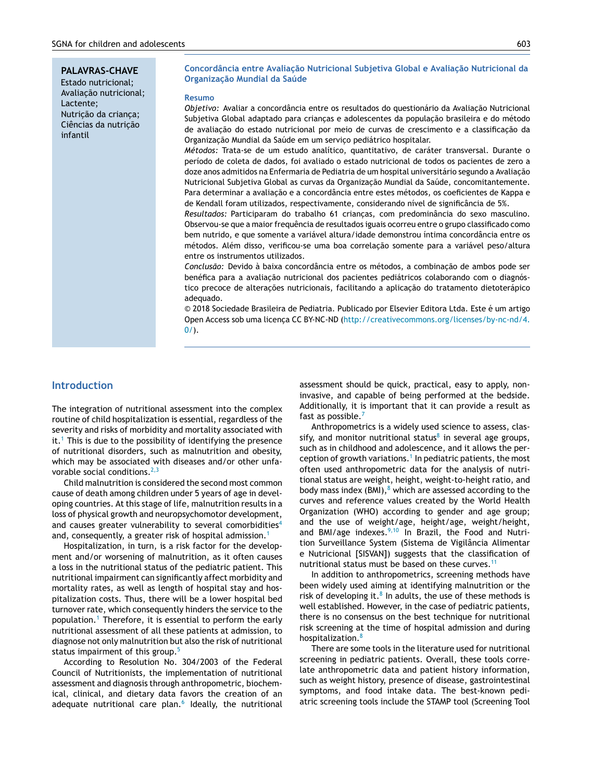**PALAVRAS-CHAVE** Estado nutricional; Avaliação nutricional; Lactente; Nutricão da crianca; Ciências da nutrição infantil

**Concordância entre Avaliac¸ão Nutricional Subjetiva Global e Avaliac¸ão Nutricional da Organizac¸ão Mundial da Saúde**

#### **Resumo**

*Objetivo: Avaliar a concordância entre os resultados do questionário da Avaliação Nutricional* Subjetiva Global adaptado para crianças e adolescentes da população brasileira e do método de avaliação do estado nutricional por meio de curvas de crescimento e a classificação da Organização Mundial da Saúde em um serviço pediátrico hospitalar.

*Métodos:* Trata-se de um estudo analítico, quantitativo, de caráter transversal. Durante o período de coleta de dados, foi avaliado o estado nutricional de todos os pacientes de zero a doze anos admitidos na Enfermaria de Pediatria de um hospital universitário segundo a Avaliação Nutricional Subjetiva Global as curvas da Organização Mundial da Saúde, concomitantemente. Para determinar a avaliação e a concordância entre estes métodos, os coeficientes de Kappa e de Kendall foram utilizados, respectivamente, considerando nível de significância de 5%.

Resultados: Participaram do trabalho 61 crianças, com predominância do sexo masculino. Observou-se que a maior frequência de resultados iguais ocorreu entre o grupo classificado como bem nutrido, e que somente a variável altura/idade demonstrou íntima concordância entre os métodos. Além disso, verificou-se uma boa correlação somente para a variável peso/altura entre os instrumentos utilizados.

*Conclusão:* Devido à baixa concordância entre os métodos, a combinação de ambos pode ser benéfica para a avaliação nutricional dos pacientes pediátricos colaborando com o diagnóstico precoce de alterações nutricionais, facilitando a aplicação do tratamento dietoterápico adequado.

© 2018 Sociedade Brasileira de Pediatria. Publicado por Elsevier Editora Ltda. Este é um artigo Open Access sob uma licenca CC BY-NC-ND [\(http://creativecommons.org/licenses/by-nc-nd/4.](http://creativecommons.org/licenses/by-nc-nd/4.0/)  $0/$ ).

### **Introduction**

The integration of nutritional assessment into the complex routine of child hospitalization is essential, regardless of the severity and risks of morbidity and mortality associated with it.<sup>[1](#page-5-0)</sup> This is due to the possibility of identifying the presence of nutritional disorders, such as malnutrition and obesity, which may be associated with diseases and/or other unfavorable social conditions.  $2,3$ 

Child malnutrition is considered the second most common cause of death among children under 5 years of age in developing countries. At this stage of life, malnutrition results in a loss of physical growth and neuropsychomotor development, and causes greater vulnerability to several comorbidities<sup>[4](#page-5-0)</sup> and, consequently, a greater risk of hospital admission.<sup>[1](#page-5-0)</sup>

Hospitalization, in turn, is a risk factor for the development and/or worsening of malnutrition, as it often causes a loss in the nutritional status of the pediatric patient. This nutritional impairment can significantly affect morbidity and mortality rates, as well as length of hospital stay and hospitalization costs. Thus, there will be a lower hospital bed turnover rate, which consequently hinders the service to the population.[1](#page-5-0) Therefore, it is essential to perform the early nutritional assessment of all these patients at admission, to diagnose not only malnutrition but also the risk of nutritional status impairment of this group.<sup>[5](#page-5-0)</sup>

According to Resolution No. 304/2003 of the Federal Council of Nutritionists, the implementation of nutritional assessment and diagnosis through anthropometric, biochemical, clinical, and dietary data favors the creation of an adequate nutritional care plan.<sup>[6](#page-5-0)</sup> Ideally, the nutritional

assessment should be quick, practical, easy to apply, noninvasive, and capable of being performed at the bedside. Additionally, it is important that it can provide a result as fast as possible.<sup>[7](#page-5-0)</sup>

Anthropometrics is a widely used science to assess, classify, and monitor nutritional status $8$  in several age groups, such as in childhood and adolescence, and it allows the per-ception of growth variations.<sup>1</sup> [In](#page-5-0) pediatric patients, the most often used anthropometric data for the analysis of nutritional status are weight, height, weight-to-height ratio, and body mass index  $(BMI)$ ,<sup>[8](#page-5-0)</sup> which are assessed according to the curves and reference values created by the World Health Organization (WHO) according to gender and age group; and the use of weight/age, height/age, weight/height, and BMI/age indexes.<sup>[9,10](#page-5-0)</sup> In Brazil, the Food and Nutrition Surveillance System (Sistema de Vigilância Alimentar e Nutricional [SISVAN]) suggests that the classification of nutritional status must be based on these curves.<sup>[11](#page-5-0)</sup>

In addition to anthropometrics, screening methods have been widely used aiming at identifying malnutrition or the risk of developing it. $8$  [I](#page-5-0)n adults, the use of these methods is well established. However, in the case of pediatric patients, there is no consensus on the best technique for nutritional risk screening at the time of hospital admission and during hospitalization.<sup>[8](#page-5-0)</sup>

There are some tools in the literature used for nutritional screening in pediatric patients. Overall, these tools correlate anthropometric data and patient history information, such as weight history, presence of disease, gastrointestinal symptoms, and food intake data. The best-known pediatric screening tools include the STAMP tool (Screening Tool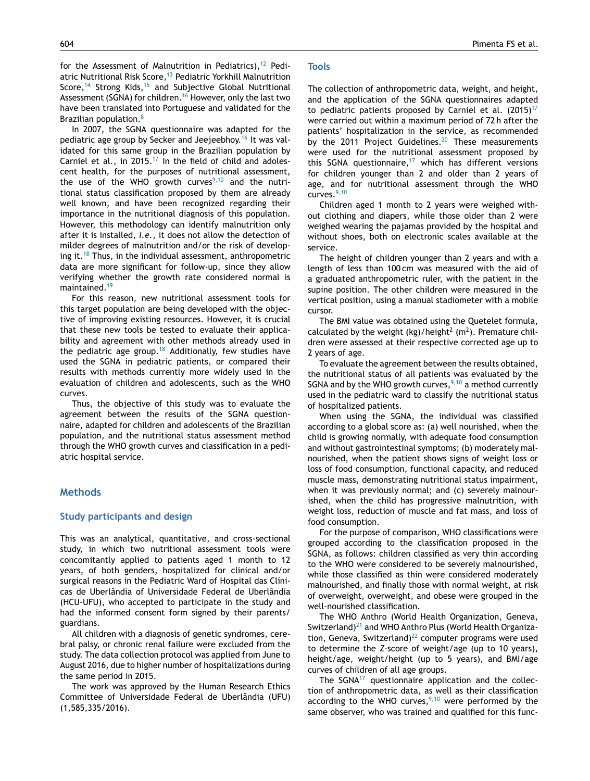In 2007, the SGNA questionnaire was adapted for the pediatric age group by Secker and Jeejeebhoy.[16](#page-5-0) It was validated for this same group in the Brazilian population by Carniel et al., in 2015.<sup>[17](#page-5-0)</sup> In the field of child and adolescent health, for the purposes of nutritional assessment, the use of the WHO growth curves $9,10$  and the nutritional status classification proposed by them are already well known, and have been recognized regarding their importance in the nutritional diagnosis of this population. However, this methodology can identify malnutrition only after it is installed, *i.e.*, it does not allow the detection of milder degrees of malnutrition and/or the risk of developing it. $18$  Thus, in the individual assessment, anthropometric data are more significant for follow-up, since they allow verifying whether the growth rate considered normal is maintained.<sup>[19](#page-5-0)</sup>

For this reason, new nutritional assessment tools for this target population are being developed with the objective of improving existing resources. However, it is crucial that these new tools be tested to evaluate their applicability and agreement with other methods already used in the pediatric age group.<sup>[18](#page-5-0)</sup> Additionally, few studies have used the SGNA in pediatric patients, or compared their results with methods currently more widely used in the evaluation of children and adolescents, such as the WHO curves.

Thus, the objective of this study was to evaluate the agreement between the results of the SGNA questionnaire, adapted for children and adolescents of the Brazilian population, and the nutritional status assessment method through the WHO growth curves and classification in a pediatric hospital service.

## **Methods**

#### **Study participants and design**

This was an analytical, quantitative, and cross-sectional study, in which two nutritional assessment tools were concomitantly applied to patients aged 1 month to 12 years, of both genders, hospitalized for clinical and/or surgical reasons in the Pediatric Ward of Hospital das Clínicas de Uberlândia of Universidade Federal de Uberlândia (HCU-UFU), who accepted to participate in the study and had the informed consent form signed by their parents/ guardians.

All children with a diagnosis of genetic syndromes, cerebral palsy, or chronic renal failure were excluded from the study. The data collection protocol was applied from June to August 2016, due to higher number of hospitalizations during the same period in 2015.

The work was approved by the Human Research Ethics Committee of Universidade Federal de Uberlândia (UFU) (1,585,335/2016).

#### **Tools**

The collection of anthropometric data, weight, and height, and the application of the SGNA questionnaires adapted to pediatric patients proposed by Carniel et al.  $(2015)^{17}$  $(2015)^{17}$  $(2015)^{17}$ were carried out within a maximum period of 72 h after the patients' hospitalization in the service, as recommended by the [20](#page-5-0)11 Project Guidelines.<sup>20</sup> These measurements were used for the nutritional assessment proposed by this SGNA questionnaire, $17$  which has different versions for children younger than 2 and older than 2 years of age, and for nutritional assessment through the WHO curves. $9,10$ 

Children aged 1 month to 2 years were weighed without clothing and diapers, while those older than 2 were weighed wearing the pajamas provided by the hospital and without shoes, both on electronic scales available at the service.

The height of children younger than 2 years and with a length of less than 100 cm was measured with the aid of a graduated anthropometric ruler, with the patient in the supine position. The other children were measured in the vertical position, using a manual stadiometer with a mobile cursor.

The BMI value was obtained using the Quetelet formula, calculated by the weight  $(kg)/\text{height}^2$  (m<sup>2</sup>). Premature children were assessed at their respective corrected age up to 2 years of age.

To evaluate the agreement between the results obtained, the nutritional status of all patients was evaluated by the SGNA and by the WHO growth curves,  $9,10$  a method currently used in the pediatric ward to classify the nutritional status of hospitalized patients.

When using the SGNA, the individual was classified according to a global score as: (a) well nourished, when the child is growing normally, with adequate food consumption and without gastrointestinal symptoms; (b) moderately malnourished, when the patient shows signs of weight loss or loss of food consumption, functional capacity, and reduced muscle mass, demonstrating nutritional status impairment, when it was previously normal; and (c) severely malnourished, when the child has progressive malnutrition, with weight loss, reduction of muscle and fat mass, and loss of food consumption.

For the purpose of comparison, WHO classifications were grouped according to the classification proposed in the SGNA, as follows: children classified as very thin according to the WHO were considered to be severely malnourished, while those classified as thin were considered moderately malnourished, and finally those with normal weight, at risk of overweight, overweight, and obese were grouped in the well-nourished classification.

The WHO Anthro (World Health Organization, Geneva, Switzerland) $^{21}$  $^{21}$  $^{21}$  and WHO Anthro Plus (World Health Organization, Geneva, Switzerland) $^{22}$  $^{22}$  $^{22}$  computer programs were used to determine the *Z*-score of weight/age (up to 10 years), height/age, weight/height (up to 5 years), and BMI/age curves of children of all age groups.

The  $S G N A^{17}$  $S G N A^{17}$  $S G N A^{17}$  questionnaire application and the collection of anthropometric data, as well as their classification according to the WHO curves,  $9,10$  were performed by the same observer, who was trained and qualified for this func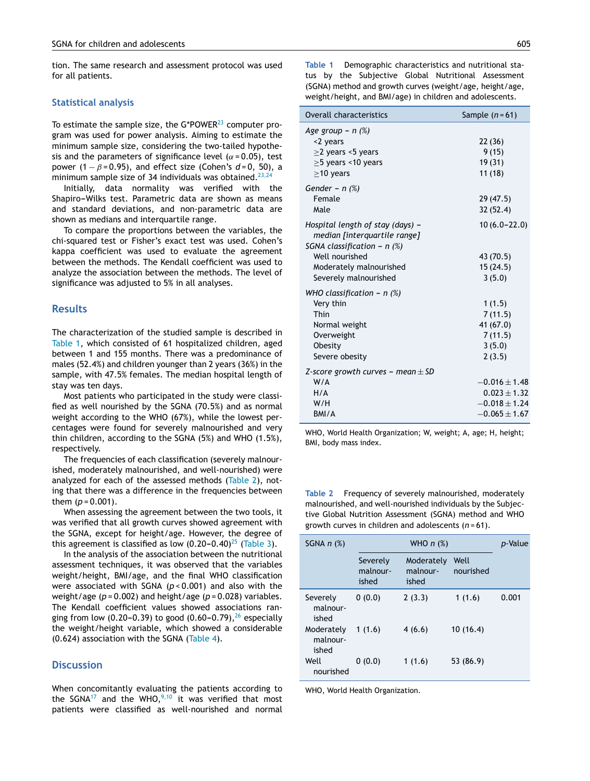tion. The same research and assessment protocol was used for all patients.

#### **Statistical analysis**

To estimate the sample size, the G\*POWER<sup>[23](#page-5-0)</sup> computer program was used for power analysis. Aiming to estimate the minimum sample size, considering the two-tailed hypothesis and the parameters of significance level ( $\alpha$  = 0.05), test power  $(1 - \beta = 0.95)$ , and effect size (Cohen's  $d = 0$ , 50), a minimum sample size of 34 individuals was obtained.<sup>[23,24](#page-5-0)</sup>

Initially, data normality was verified with the Shapiro-Wilks test. Parametric data are shown as means and standard deviations, and non-parametric data are shown as medians and interquartile range.

To compare the proportions between the variables, the chi-squared test or Fisher's exact test was used. Cohen's kappa coefficient was used to evaluate the agreement between the methods. The Kendall coefficient was used to analyze the association between the methods. The level of significance was adjusted to 5% in all analyses.

## **Results**

The characterization of the studied sample is described in Table 1, which consisted of 61 hospitalized children, aged between 1 and 155 months. There was a predominance of males (52.4%) and children younger than 2 years (36%) in the sample, with 47.5% females. The median hospital length of stay was ten days.

Most patients who participated in the study were classified as well nourished by the SGNA (70.5%) and as normal weight according to the WHO (67%), while the lowest percentages were found for severely malnourished and very thin children, according to the SGNA (5%) and WHO (1.5%), respectively.

The frequencies of each classification (severely malnourished, moderately malnourished, and well-nourished) were analyzed for each of the assessed methods (Table 2), noting that there was a difference in the frequencies between them  $(p = 0.001)$ .

When assessing the agreement between the two tools, it was verified that all growth curves showed agreement with the SGNA, except for height/age. However, the degree of this agreement is classified as low  $(0.20-0.40)^{25}$  $(0.20-0.40)^{25}$  $(0.20-0.40)^{25}$  [\(Table](#page-4-0) 3).

In the analysis of the association between the nutritional assessment techniques, it was observed that the variables weight/height, BMI/age, and the final WHO classification were associated with SGNA (*p* < 0.001) and also with the weight/age (*p* = 0.002) and height/age (*p* = 0.028) variables. The Kendall coefficient values showed associations ran-ging from low (0.20–0.39) to good (0.60–0.79),<sup>[26](#page-5-0)</sup> especially the weight/height variable, which showed a considerable (0.624) association with the SGNA ([Table](#page-4-0) 4).

## **Discussion**

When concomitantly evaluating the patients according to the SGNA<sup>[17](#page-5-0)</sup> and the WHO,  $9,10$  it was verified that most patients were classified as well-nourished and normal **Table 1** Demographic characteristics and nutritional status by the Subjective Global Nutritional Assessment (SGNA) method and growth curves (weight/age, height/age, weight/height, and BMI/age) in children and adolescents.

| Overall characteristics                                                                                                                                                 | Sample $(n=61)$                                                                 |
|-------------------------------------------------------------------------------------------------------------------------------------------------------------------------|---------------------------------------------------------------------------------|
| Age group $- n$ (%)<br><2 years<br>$\geq$ 2 years <5 years<br>$\geq$ 5 years <10 years<br>$>10$ years                                                                   | 22 (36)<br>9(15)<br>19 (31)<br>11 (18)                                          |
| Gender – n $(\%)$<br>Female<br>Male                                                                                                                                     | 29 (47.5)<br>32(52.4)                                                           |
| Hospital length of stay (days) –<br>median [interquartile range]<br>SGNA classification - $n$ (%)<br>Well nourished<br>Moderately malnourished<br>Severely malnourished | $10(6.0 - 22.0)$<br>43 (70.5)<br>15(24.5)<br>3(5.0)                             |
| WHO classification - $n$ (%)<br>Very thin<br>Thin<br>Normal weight<br>Overweight<br>Obesity<br>Severe obesity                                                           | 1(1.5)<br>7(11.5)<br>41 (67.0)<br>7(11.5)<br>3(5.0)<br>2(3.5)                   |
| Z-score growth curves – mean $\pm$ SD<br>W/A<br>H/A<br>W/H<br>BMI/A                                                                                                     | $-0.016 \pm 1.48$<br>$0.023 \pm 1.32$<br>$-0.018 \pm 1.24$<br>$-0.065 \pm 1.67$ |

WHO, World Health Organization; W, weight; A, age; H, height; BMI, body mass index.

**Table 2** Frequency of severely malnourished, moderately malnourished, and well-nourished individuals by the Subjective Global Nutrition Assessment (SGNA) method and WHO growth curves in children and adolescents (*n* = 61).

| SGNA $n$ $(\%)$                 |                               | <i>p</i> -Value                 |                   |       |
|---------------------------------|-------------------------------|---------------------------------|-------------------|-------|
|                                 | Severely<br>malnour-<br>ished | Moderately<br>malnour-<br>ished | Well<br>nourished |       |
| Severely<br>malnour-<br>ished   | 0(0.0)                        | 2(3.3)                          | 1(1.6)            | 0.001 |
| Moderately<br>malnour-<br>ished | 1(1.6)                        | 4(6.6)                          | 10(16.4)          |       |
| Well<br>nourished               | 0(0.0)                        | 1(1.6)                          | 53 (86.9)         |       |

WHO, World Health Organization.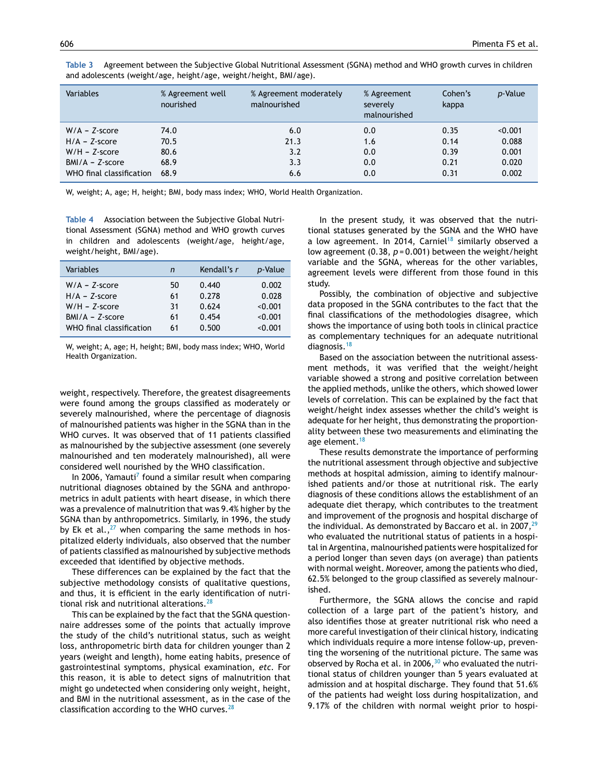| Variables                | % Agreement well<br>nourished | % Agreement moderately<br>malnourished | % Agreement<br>severely<br>malnourished | Cohen's<br>kappa | <i>p</i> -Value |
|--------------------------|-------------------------------|----------------------------------------|-----------------------------------------|------------------|-----------------|
| $W/A - Z$ -score         | 74.0                          | 6.0                                    | 0.0                                     | 0.35             | < 0.001         |
| $H/A - Z-score$          | 70.5                          | 21.3                                   | 1.6                                     | 0.14             | 0.088           |
| $W/H - Z-score$          | 80.6                          | 3.2                                    | 0.0                                     | 0.39             | 0.001           |
| $BMI/A - Z-score$        | 68.9                          | 3.3                                    | 0.0                                     | 0.21             | 0.020           |
| WHO final classification | 68.9                          | 6.6                                    | 0.0                                     | 0.31             | 0.002           |

<span id="page-4-0"></span>**Table 3** Agreement between the Subjective Global Nutritional Assessment (SGNA) method and WHO growth curves in children and adolescents (weight/age, height/age, weight/height, BMI/age).

W, weight; A, age; H, height; BMI, body mass index; WHO, World Health Organization.

**Table 4** Association between the Subjective Global Nutritional Assessment (SGNA) method and WHO growth curves in children and adolescents (weight/age, height/age, weight/height, BMI/age).

| Variables                | n  | Kendall's r | p-Value |
|--------------------------|----|-------------|---------|
| $W/A - Z$ -score         | 50 | 0.440       | 0.002   |
| $H/A - 7$ -score         | 61 | 0.278       | 0.028   |
| $W/H - Z-score$          | 31 | 0.624       | < 0.001 |
| $BMI/A - Z-score$        | 61 | 0.454       | < 0.001 |
| WHO final classification | 61 | 0.500       | < 0.001 |

W, weight; A, age; H, height; BMI, body mass index; WHO, World Health Organization.

weight, respectively. Therefore, the greatest disagreements were found among the groups classified as moderately or severely malnourished, where the percentage of diagnosis of malnourished patients was higher in the SGNA than in the WHO curves. It was observed that of 11 patients classified as malnourished by the subjective assessment (one severely malnourished and ten moderately malnourished), all were considered well nourished by the WHO classification.

In 2006, Yamauti<sup>7</sup> [f](#page-5-0)ound a similar result when comparing nutritional diagnoses obtained by the SGNA and anthropometrics in adult patients with heart disease, in which there was a prevalence of malnutrition that was 9.4% higher by the SGNA than by anthropometrics. Similarly, in 1996, the study by Ek et al., $27$  when comparing the same methods in hospitalized elderly individuals, also observed that the number of patients classified as malnourished by subjective methods exceeded that identified by objective methods.

These differences can be explained by the fact that the subjective methodology consists of qualitative questions, and thus, it is efficient in the early identification of nutri-tional risk and nutritional alterations.<sup>[28](#page-6-0)</sup>

This can be explained by the fact that the SGNA questionnaire addresses some of the points that actually improve the study of the child's nutritional status, such as weight loss, anthropometric birth data for children younger than 2 years (weight and length), home eating habits, presence of gastrointestinal symptoms, physical examination, *etc.* For this reason, it is able to detect signs of malnutrition that might go undetected when considering only weight, height, and BMI in the nutritional assessment, as in the case of the classification according to the WHO curves. $^{28}$  $^{28}$  $^{28}$ 

In the present study, it was observed that the nutritional statuses generated by the SGNA and the WHO have a low agreement. In 2014, Carniel<sup>[18](#page-5-0)</sup> similarly observed a low agreement (0.38, *p* = 0.001) between the weight/height variable and the SGNA, whereas for the other variables, agreement levels were different from those found in this study.

Possibly, the combination of objective and subjective data proposed in the SGNA contributes to the fact that the final classifications of the methodologies disagree, which shows the importance of using both tools in clinical practice as complementary techniques for an adequate nutritional diagnosis.[18](#page-5-0)

Based on the association between the nutritional assessment methods, it was verified that the weight/height variable showed a strong and positive correlation between the applied methods, unlike the others, which showed lower levels of correlation. This can be explained by the fact that weight/height index assesses whether the child's weight is adequate for her height, thus demonstrating the proportionality between these two measurements and eliminating the age element.<sup>[18](#page-5-0)</sup>

These results demonstrate the importance of performing the nutritional assessment through objective and subjective methods at hospital admission, aiming to identify malnourished patients and/or those at nutritional risk. The early diagnosis of these conditions allows the establishment of an adequate diet therapy, which contributes to the treatment and improvement of the prognosis and hospital discharge of the individual. As demonstrated by Baccaro et al. in 2007, $^{29}$  $^{29}$  $^{29}$ who evaluated the nutritional status of patients in a hospital in Argentina, malnourished patients were hospitalized for a period longer than seven days (on average) than patients with normal weight. Moreover, among the patients who died, 62.5% belonged to the group classified as severely malnourished.

Furthermore, the SGNA allows the concise and rapid collection of a large part of the patient's history, and also identifies those at greater nutritional risk who need a more careful investigation of their clinical history, indicating which individuals require a more intense follow-up, preventing the worsening of the nutritional picture. The same was observed by Rocha et al. in 2006, $30$  who evaluated the nutritional status of children younger than 5 years evaluated at admission and at hospital discharge. They found that 51.6% of the patients had weight loss during hospitalization, and 9.17% of the children with normal weight prior to hospi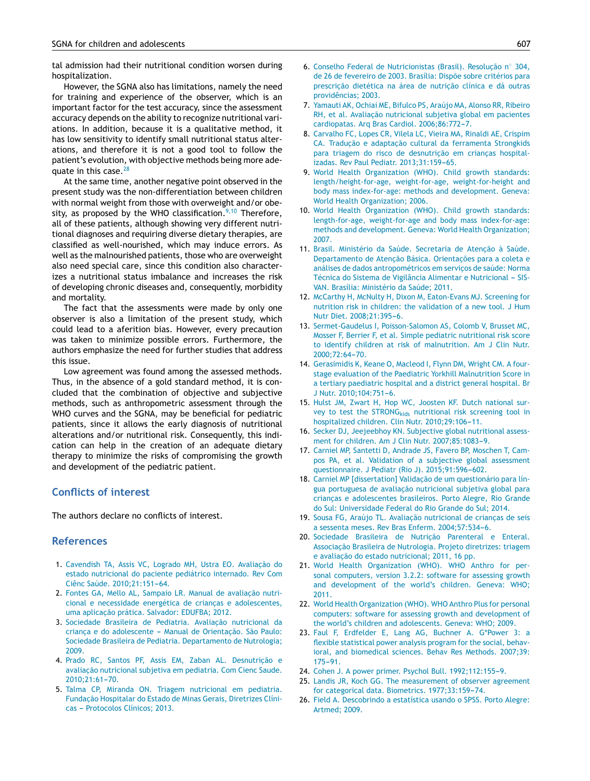<span id="page-5-0"></span>tal admission had their nutritional condition worsen during hospitalization.

However, the SGNA also has limitations, namely the need for training and experience of the observer, which is an important factor for the test accuracy, since the assessment accuracy depends on the ability to recognize nutritional variations. In addition, because it is a qualitative method, it has low sensitivity to identify small nutritional status alterations, and therefore it is not a good tool to follow the patient's evolution, with objective methods being more ade-quate in this case.<sup>[28](#page-6-0)</sup>

At the same time, another negative point observed in the present study was the non-differentiation between children with normal weight from those with overweight and/or obesity, as proposed by the WHO classification. $9,10$  Therefore, all of these patients, although showing very different nutritional diagnoses and requiring diverse dietary therapies, are classified as well-nourished, which may induce errors. As well as the malnourished patients, those who are overweight also need special care, since this condition also characterizes a nutritional status imbalance and increases the risk of developing chronic diseases and, consequently, morbidity and mortality.

The fact that the assessments were made by only one observer is also a limitation of the present study, which could lead to a aferition bias. However, every precaution was taken to minimize possible errors. Furthermore, the authors emphasize the need for further studies that address this issue.

Low agreement was found among the assessed methods. Thus, in the absence of a gold standard method, it is concluded that the combination of objective and subjective methods, such as anthropometric assessment through the WHO curves and the SGNA, may be beneficial for pediatric patients, since it allows the early diagnosis of nutritional alterations and/or nutritional risk. Consequently, this indication can help in the creation of an adequate dietary therapy to minimize the risks of compromising the growth and development of the pediatric patient.

## **Conflicts of interest**

The authors declare no conflicts of interest.

## **References**

- 1. Cavendish TA, Assis VC, Logrado MH, Ustra EO. Avaliacão do estado nutricional do paciente pediátrico internado. Rev Com Ciênc Saúde. 2010;21:151-64.
- 2. Fontes GA, Mello AL, Sampaio LR. Manual de avaliação nutricional e necessidade energética de crianças e adolescentes, uma aplicação prática. Salvador: EDUFBA: 2012.
- 3. Sociedade Brasileira de Pediatria. Avaliação nutricional da criança e do adolescente - Manual de Orientação. São Paulo: Sociedade Brasileira de Pediatria. Departamento de Nutrologia; 2009.
- 4. Prado RC, Santos PF, Assis EM, Zaban AL. Desnutricão e avaliação nutricional subjetiva em pediatria. Com Cienc Saude. 2010:21:61-70.
- 5. Talma CP, Miranda ON. Triagem nutricional em pediatria. Fundacão Hospitalar do Estado de Minas Gerais, Diretrizes Clínicas - Protocolos Clínicos; 2013.
- 6. Conselho Federal de Nutricionistas (Brasil). Resolução nº 304, de 26 de fevereiro de 2003. Brasília: Dispõe sobre critérios para prescrição dietética na área de nutrição clínica e dá outras providências; 2003.
- 7. Yamauti AK, Ochiai ME, Bifulco PS, Araújo MA, Alonso RR, Ribeiro RH, et al. Avaliacão nutricional subjetiva global em pacientes cardiopatas. Arq Bras Cardiol. 2006;86:772-7.
- 8. Carvalho FC, Lopes CR, Vilela LC, Vieira MA, Rinaldi AE, Crispim CA. Traducão e adaptacão cultural da ferramenta Strongkids para triagem do risco de desnutrição em crianças hospitalizadas. Rev Paul Pediatr. 2013;31:159-65.
- 9. World Health Organization (WHO). Child growth standards: length/height-for-age, weight-for-age, weight-for-height and body mass index-for-age: methods and development. Geneva: World Health Organization; 2006.
- 10. World Health Organization (WHO). Child growth standards: length-for-age, weight-for-age and body mass index-for-age: methods and development. Geneva: World Health Organization; 2007.
- 11. Brasil. Ministério da Saúde. Secretaria de Atencão à Saúde. Departamento de Atenção Básica. Orientações para a coleta e análises de dados antropométricos em servicos de saúde: Norma Técnica do Sistema de Vigilância Alimentar e Nutricional - SIS-VAN. Brasília: Ministério da Saúde; 2011.
- 12. McCarthy H, McNulty H, Dixon M, Eaton-Evans MJ. Screening for nutrition risk in children: the validation of a new tool. J Hum Nutr Diet. 2008;21:395-6.
- 13. Sermet-Gaudelus I, Poisson-Salomon AS, Colomb V, Brusset MC, Mosser F, Berrier F, et al. Simple pediatric nutritional risk score to identify children at risk of malnutrition. Am J Clin Nutr. 2000;72:64-70.
- 14. Gerasimidis K, Keane O, Macleod I, Flynn DM, Wright CM. A fourstage evaluation of the Paediatric Yorkhill Malnutrition Score in a tertiary paediatric hospital and a district general hospital. Br J Nutr. 2010;104:751-6.
- 15. Hulst JM, Zwart H, Hop WC, Joosten KF. Dutch national survey to test the STRONG<sub>kids</sub> nutritional risk screening tool in hospitalized children. Clin Nutr. 2010;29:106-11.
- 16. Secker DJ, Jeejeebhoy KN. Subjective global nutritional assessment for children. Am J Clin Nutr. 2007;85:1083-9.
- 17. Carniel MP, Santetti D, Andrade JS, Favero BP, Moschen T, Campos PA, et al. Validation of a subjective global assessment questionnaire. J Pediatr (Rio J). 2015;91:596-602.
- 18. Carniel MP [dissertation] Validação de um questionário para língua portuguesa de avaliação nutricional subjetiva global para crianças e adolescentes brasileiros. Porto Alegre, Rio Grande do Sul: Universidade Federal do Rio Grande do Sul; 2014.
- 19. Sousa FG, Araújo TL. Avaliação nutricional de crianças de seis a sessenta meses. Rev Bras Enferm. 2004;57:534-6.
- 20. Sociedade Brasileira de Nutrição Parenteral e Enteral. Associação Brasileira de Nutrologia. Projeto diretrizes: triagem e avaliação do estado nutricional; 2011, 16 pp.
- 21. World Health Organization (WHO). WHO Anthro for personal computers, version 3.2.2: software for assessing growth and development of the world's children. Geneva: WHO; 2011.
- 22. World Health Organization (WHO). WHO Anthro Plus for personal computers: software for assessing growth and development of the world's children and adolescents. Geneva: WHO; 2009.
- 23. Faul F, Erdfelder E, Lang AG, Buchner A. G\*Power 3: a flexible statistical power analysis program for the social, behavioral, and biomedical sciences. Behav Res Methods. 2007;39:  $175 - 91$ .
- 24. Cohen J. A power primer. Psychol Bull. 1992;112:155-9.
- 25. Landis JR, Koch GG. The measurement of observer agreement for categorical data. Biometrics. 1977;33:159-74.
- 26. Field A. Descobrindo a estatística usando o SPSS. Porto Alegre: Artmed; 2009.